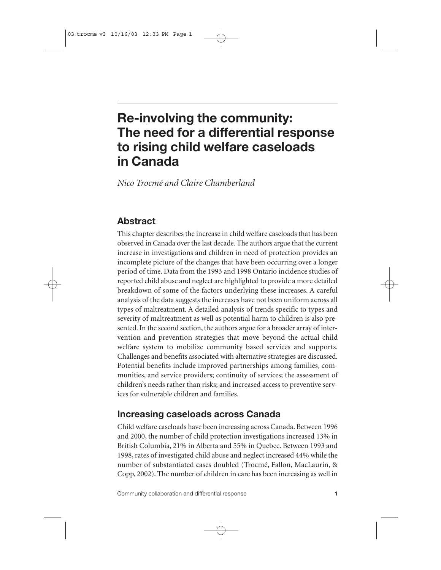# **Re-involving the community: The need for a differential response to rising child welfare caseloads in Canada**

*Nico Trocmé and Claire Chamberland*

# **Abstract**

This chapter describes the increase in child welfare caseloads that has been observed in Canada over the last decade. The authors argue that the current increase in investigations and children in need of protection provides an incomplete picture of the changes that have been occurring over a longer period of time. Data from the 1993 and 1998 Ontario incidence studies of reported child abuse and neglect are highlighted to provide a more detailed breakdown of some of the factors underlying these increases. A careful analysis of the data suggests the increases have not been uniform across all types of maltreatment. A detailed analysis of trends specific to types and severity of maltreatment as well as potential harm to children is also presented. In the second section, the authors argue for a broader array of intervention and prevention strategies that move beyond the actual child welfare system to mobilize community based services and supports. Challenges and benefits associated with alternative strategies are discussed. Potential benefits include improved partnerships among families, communities, and service providers; continuity of services; the assessment of children's needs rather than risks; and increased access to preventive services for vulnerable children and families.

# **Increasing caseloads across Canada**

Child welfare caseloads have been increasing across Canada. Between 1996 and 2000, the number of child protection investigations increased 13% in British Columbia, 21% in Alberta and 55% in Quebec. Between 1993 and 1998, rates of investigated child abuse and neglect increased 44% while the number of substantiated cases doubled (Trocmé, Fallon, MacLaurin, & Copp, 2002). The number of children in care has been increasing as well in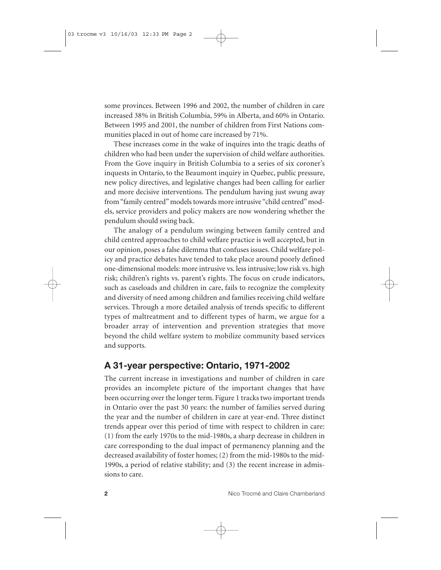some provinces. Between 1996 and 2002, the number of children in care increased 38% in British Columbia, 59% in Alberta, and 60% in Ontario. Between 1995 and 2001, the number of children from First Nations communities placed in out of home care increased by 71%.

These increases come in the wake of inquires into the tragic deaths of children who had been under the supervision of child welfare authorities. From the Gove inquiry in British Columbia to a series of six coroner's inquests in Ontario, to the Beaumont inquiry in Quebec, public pressure, new policy directives, and legislative changes had been calling for earlier and more decisive interventions. The pendulum having just swung away from "family centred" models towards more intrusive "child centred" models, service providers and policy makers are now wondering whether the pendulum should swing back.

The analogy of a pendulum swinging between family centred and child centred approaches to child welfare practice is well accepted, but in our opinion, poses a false dilemma that confuses issues. Child welfare policy and practice debates have tended to take place around poorly defined one-dimensional models: more intrusive vs. less intrusive; low risk vs. high risk; children's rights vs. parent's rights. The focus on crude indicators, such as caseloads and children in care, fails to recognize the complexity and diversity of need among children and families receiving child welfare services. Through a more detailed analysis of trends specific to different types of maltreatment and to different types of harm, we argue for a broader array of intervention and prevention strategies that move beyond the child welfare system to mobilize community based services and supports.

### **A 31-year perspective: Ontario, 1971-2002**

The current increase in investigations and number of children in care provides an incomplete picture of the important changes that have been occurring over the longer term. Figure 1 tracks two important trends in Ontario over the past 30 years: the number of families served during the year and the number of children in care at year-end. Three distinct trends appear over this period of time with respect to children in care: (1) from the early 1970s to the mid-1980s, a sharp decrease in children in care corresponding to the dual impact of permanency planning and the decreased availability of foster homes; (2) from the mid-1980s to the mid-1990s, a period of relative stability; and (3) the recent increase in admissions to care.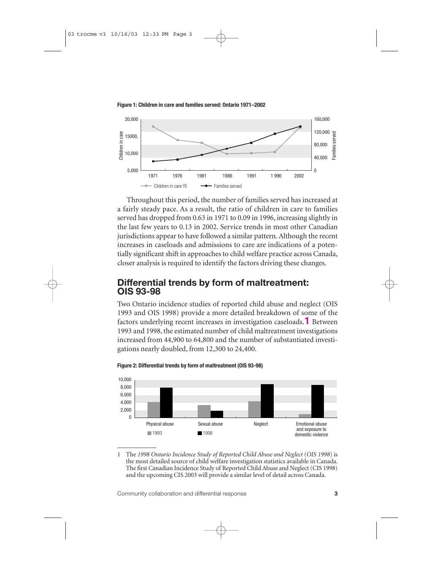

**Figure 1: Children in care and families served: Ontario 1971–2002**

Throughout this period, the number of families served has increased at a fairly steady pace. As a result, the ratio of children in care to families served has dropped from 0.63 in 1971 to 0.09 in 1996, increasing slightly in the last few years to 0.13 in 2002. Service trends in most other Canadian jurisdictions appear to have followed a similar pattern. Although the recent increases in caseloads and admissions to care are indications of a potentially significant shift in approaches to child welfare practice across Canada, closer analysis is required to identify the factors driving these changes.

### **Differential trends by form of maltreatment: OIS 93-98**

Two Ontario incidence studies of reported child abuse and neglect (OIS 1993 and OIS 1998) provide a more detailed breakdown of some of the factors underlying recent increases in investigation caseloads.**1** Between 1993 and 1998, the estimated number of child maltreatment investigations increased from 44,900 to 64,800 and the number of substantiated investigations nearly doubled, from 12,300 to 24,400.



**Figure 2: Differential trends by form of maltreatment (OIS 93-98)**

1 The *1998 Ontario Incidence Study of Reported Child Abuse and Neglect* (*OIS 1998*) is the most detailed source of child welfare investigation statistics available in Canada. The first Canadian Incidence Study of Reported Child Abuse and Neglect (CIS 1998) and the upcoming CIS 2003 will provide a similar level of detail across Canada.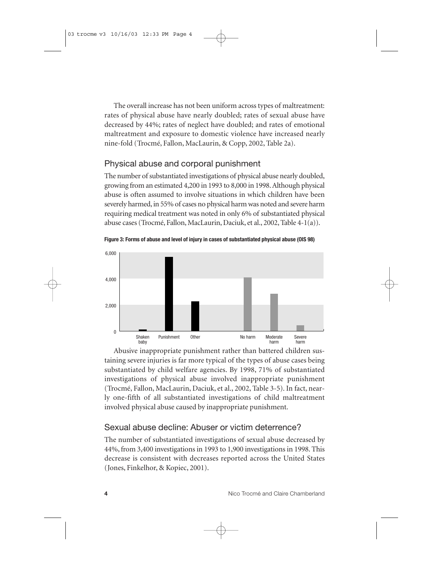The overall increase has not been uniform across types of maltreatment: rates of physical abuse have nearly doubled; rates of sexual abuse have decreased by 44%; rates of neglect have doubled; and rates of emotional maltreatment and exposure to domestic violence have increased nearly nine-fold (Trocmé, Fallon, MacLaurin, & Copp, 2002, Table 2a).

### Physical abuse and corporal punishment

The number of substantiated investigations of physical abuse nearly doubled, growing from an estimated 4,200 in 1993 to 8,000 in 1998. Although physical abuse is often assumed to involve situations in which children have been severely harmed, in 55% of cases no physical harm was noted and severe harm requiring medical treatment was noted in only 6% of substantiated physical abuse cases (Trocmé, Fallon, MacLaurin, Daciuk, et al., 2002, Table 4-1(a)).

**Figure 3: Forms of abuse and level of injury in cases of substantiated physical abuse (OIS 98)**



Abusive inappropriate punishment rather than battered children sustaining severe injuries is far more typical of the types of abuse cases being substantiated by child welfare agencies. By 1998, 71% of substantiated investigations of physical abuse involved inappropriate punishment (Trocmé, Fallon, MacLaurin, Daciuk, et al., 2002, Table 3-5). In fact, nearly one-fifth of all substantiated investigations of child maltreatment involved physical abuse caused by inappropriate punishment.

### Sexual abuse decline: Abuser or victim deterrence?

The number of substantiated investigations of sexual abuse decreased by 44%, from 3,400 investigations in 1993 to 1,900 investigations in 1998. This decrease is consistent with decreases reported across the United States (Jones, Finkelhor, & Kopiec, 2001).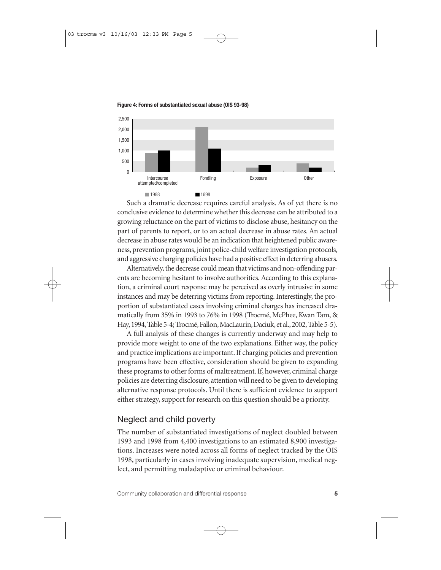

**Figure 4: Forms of substantiated sexual abuse (OIS 93-98)**

Such a dramatic decrease requires careful analysis. As of yet there is no conclusive evidence to determine whether this decrease can be attributed to a growing reluctance on the part of victims to disclose abuse, hesitancy on the part of parents to report, or to an actual decrease in abuse rates. An actual decrease in abuse rates would be an indication that heightened public awareness, prevention programs, joint police-child welfare investigation protocols, and aggressive charging policies have had a positive effect in deterring abusers.

Alternatively, the decrease could mean that victims and non-offending parents are becoming hesitant to involve authorities. According to this explanation, a criminal court response may be perceived as overly intrusive in some instances and may be deterring victims from reporting. Interestingly, the proportion of substantiated cases involving criminal charges has increased dramatically from 35% in 1993 to 76% in 1998 (Trocmé, McPhee, Kwan Tam, & Hay,1994,Table 5-4; Trocmé,Fallon,MacLaurin,Daciuk,et al.,2002,Table 5-5).

A full analysis of these changes is currently underway and may help to provide more weight to one of the two explanations. Either way, the policy and practice implications are important. If charging policies and prevention programs have been effective, consideration should be given to expanding these programs to other forms of maltreatment. If, however, criminal charge policies are deterring disclosure, attention will need to be given to developing alternative response protocols. Until there is sufficient evidence to support either strategy, support for research on this question should be a priority.

### Neglect and child poverty

The number of substantiated investigations of neglect doubled between 1993 and 1998 from 4,400 investigations to an estimated 8,900 investigations. Increases were noted across all forms of neglect tracked by the OIS 1998, particularly in cases involving inadequate supervision, medical neglect, and permitting maladaptive or criminal behaviour.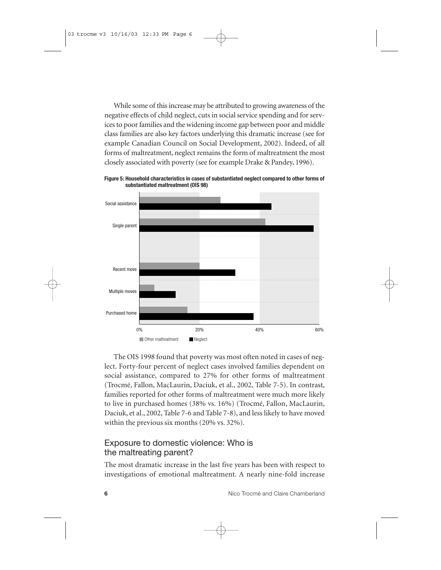While some of this increase may be attributed to growing awareness of the negative effects of child neglect, cuts in social service spending and for services to poor families and the widening income gap between poor and middle class families are also key factors underlying this dramatic increase (see for example Canadian Council on Social Development, 2002). Indeed, of all forms of maltreatment, neglect remains the form of maltreatment the most closely associated with poverty (see for example Drake & Pandey, 1996).



**Figure 5: Household characteristics in cases of substantiated neglect compared to other forms of substantiated maltreatment (OIS 98)**

The OIS 1998 found that poverty was most often noted in cases of neglect. Forty-four percent of neglect cases involved families dependent on social assistance, compared to 27% for other forms of maltreatment (Trocmé, Fallon, MacLaurin, Daciuk, et al., 2002, Table 7-5). In contrast, families reported for other forms of maltreatment were much more likely to live in purchased homes (38% vs. 16%) (Trocmé, Fallon, MacLaurin, Daciuk, et al., 2002, Table 7-6 and Table 7-8), and less likely to have moved within the previous six months (20% vs. 32%).

### Exposure to domestic violence: Who is the maltreating parent?

The most dramatic increase in the last five years has been with respect to investigations of emotional maltreatment. A nearly nine-fold increase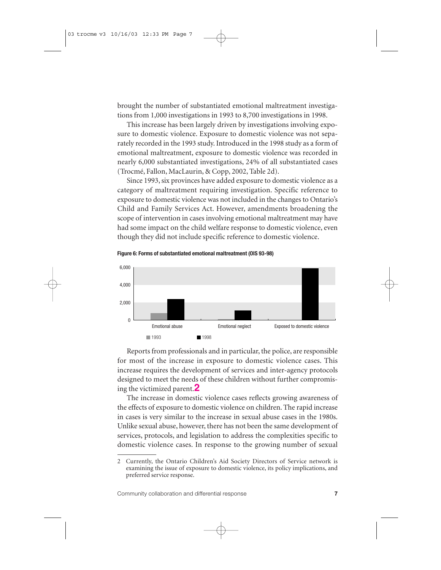brought the number of substantiated emotional maltreatment investigations from 1,000 investigations in 1993 to 8,700 investigations in 1998.

This increase has been largely driven by investigations involving exposure to domestic violence. Exposure to domestic violence was not separately recorded in the 1993 study. Introduced in the 1998 study as a form of emotional maltreatment, exposure to domestic violence was recorded in nearly 6,000 substantiated investigations, 24% of all substantiated cases (Trocmé, Fallon, MacLaurin, & Copp, 2002, Table 2d).

Since 1993, six provinces have added exposure to domestic violence as a category of maltreatment requiring investigation. Specific reference to exposure to domestic violence was not included in the changes to Ontario's Child and Family Services Act. However, amendments broadening the scope of intervention in cases involving emotional maltreatment may have had some impact on the child welfare response to domestic violence, even though they did not include specific reference to domestic violence.

**Figure 6: Forms of substantiated emotional maltreatment (OIS 93-98)**



Reports from professionals and in particular, the police, are responsible for most of the increase in exposure to domestic violence cases. This increase requires the development of services and inter-agency protocols designed to meet the needs of these children without further compromising the victimized parent.**2**

The increase in domestic violence cases reflects growing awareness of the effects of exposure to domestic violence on children. The rapid increase in cases is very similar to the increase in sexual abuse cases in the 1980s. Unlike sexual abuse, however, there has not been the same development of services, protocols, and legislation to address the complexities specific to domestic violence cases. In response to the growing number of sexual

<sup>2</sup> Currently, the Ontario Children's Aid Society Directors of Service network is examining the issue of exposure to domestic violence, its policy implications, and preferred service response.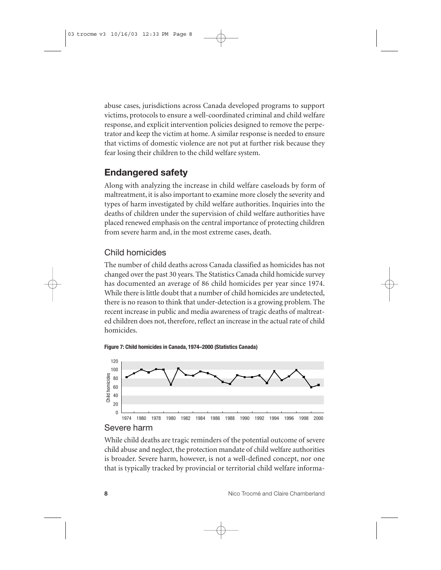abuse cases, jurisdictions across Canada developed programs to support victims, protocols to ensure a well-coordinated criminal and child welfare response, and explicit intervention policies designed to remove the perpetrator and keep the victim at home. A similar response is needed to ensure that victims of domestic violence are not put at further risk because they fear losing their children to the child welfare system.

### **Endangered safety**

Along with analyzing the increase in child welfare caseloads by form of maltreatment, it is also important to examine more closely the severity and types of harm investigated by child welfare authorities. Inquiries into the deaths of children under the supervision of child welfare authorities have placed renewed emphasis on the central importance of protecting children from severe harm and, in the most extreme cases, death.

### Child homicides

The number of child deaths across Canada classified as homicides has not changed over the past 30 years. The Statistics Canada child homicide survey has documented an average of 86 child homicides per year since 1974. While there is little doubt that a number of child homicides are undetected, there is no reason to think that under-detection is a growing problem. The recent increase in public and media awareness of tragic deaths of maltreated children does not, therefore, reflect an increase in the actual rate of child homicides.

**Figure 7: Child homicides in Canada, 1974–2000 (Statistics Canada)**





While child deaths are tragic reminders of the potential outcome of severe child abuse and neglect, the protection mandate of child welfare authorities is broader. Severe harm, however, is not a well-defined concept, nor one that is typically tracked by provincial or territorial child welfare informa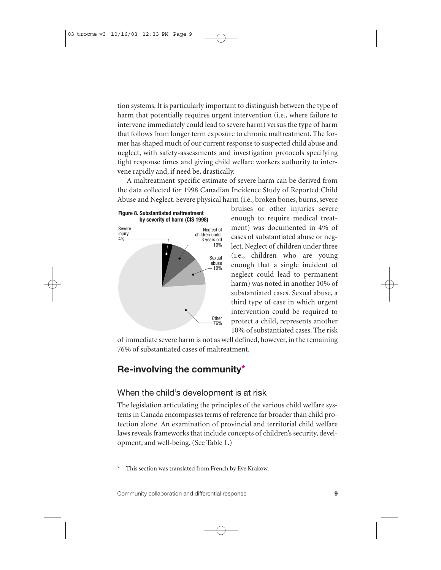tion systems. It is particularly important to distinguish between the type of harm that potentially requires urgent intervention (i.e., where failure to intervene immediately could lead to severe harm) versus the type of harm that follows from longer term exposure to chronic maltreatment. The former has shaped much of our current response to suspected child abuse and neglect, with safety-assessments and investigation protocols specifying tight response times and giving child welfare workers authority to intervene rapidly and, if need be, drastically.

A maltreatment-specific estimate of severe harm can be derived from the data collected for 1998 Canadian Incidence Study of Reported Child Abuse and Neglect. Severe physical harm (i.e., broken bones, burns, severe



bruises or other injuries severe enough to require medical treatment) was documented in 4% of cases of substantiated abuse or neglect. Neglect of children under three (i.e., children who are young enough that a single incident of neglect could lead to permanent harm) was noted in another 10% of substantiated cases. Sexual abuse, a third type of case in which urgent intervention could be required to protect a child, represents another 10% of substantiated cases. The risk

of immediate severe harm is not as well defined, however, in the remaining 76% of substantiated cases of maltreatment.

# **Re-involving the community\***

#### When the child's development is at risk

The legislation articulating the principles of the various child welfare systems in Canada encompasses terms of reference far broader than child protection alone. An examination of provincial and territorial child welfare laws reveals frameworks that include concepts of children's security, development, and well-being. (See Table 1.)

This section was translated from French by Eve Krakow.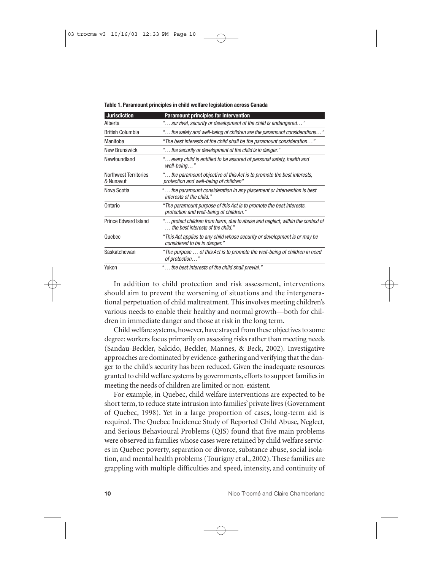**Table 1. Paramount principles in child welfare legislation across Canada**

| <b>Jurisdiction</b>                       | <b>Paramount principles for intervention</b>                                                                       |
|-------------------------------------------|--------------------------------------------------------------------------------------------------------------------|
| Alberta                                   | "… survival, security or development of the child is endangered…"                                                  |
| <b>British Columbia</b>                   | "… the safety and well-being of children are the paramount considerations…                                         |
| Manitoba                                  | "The best interests of the child shall be the paramount consideration"                                             |
| New Brunswick                             | " the security or development of the child is in danger."                                                          |
| Newfoundland                              | " every child is entitled to be assured of personal safety, health and<br>well-being"                              |
| <b>Northwest Territories</b><br>& Nunavut | " the paramount objective of this Act is to promote the best interests,<br>protection and well-being of children"  |
| Nova Scotia                               | " the paramount consideration in any placement or intervention is best<br>interests of the child."                 |
| Ontario                                   | "The paramount purpose of this Act is to promote the best interests.<br>protection and well-being of children."    |
| <b>Prince Edward Island</b>               | " protect children from harm, due to abuse and neglect, within the context of<br>the best interests of the child." |
| Quebec                                    | "This Act applies to any child whose security or development is or may be<br>considered to be in danger."          |
| Saskatchewan                              | "The purpose … of this Act is to promote the well-being of children in need<br>of protection"                      |
| Yukon                                     | "… the best interests of the child shall previal."                                                                 |

In addition to child protection and risk assessment, interventions should aim to prevent the worsening of situations and the intergenerational perpetuation of child maltreatment. This involves meeting children's various needs to enable their healthy and normal growth—both for children in immediate danger and those at risk in the long term.

Child welfare systems, however, have strayed from these objectives to some degree: workers focus primarily on assessing risks rather than meeting needs (Sandau-Beckler, Salcido, Beckler, Mannes, & Beck, 2002). Investigative approaches are dominated by evidence-gathering and verifying that the danger to the child's security has been reduced. Given the inadequate resources granted to child welfare systems by governments, efforts to support families in meeting the needs of children are limited or non-existent.

For example, in Quebec, child welfare interventions are expected to be short term, to reduce state intrusion into families' private lives (Government of Quebec, 1998). Yet in a large proportion of cases, long-term aid is required. The Quebec Incidence Study of Reported Child Abuse, Neglect, and Serious Behavioural Problems (QIS) found that five main problems were observed in families whose cases were retained by child welfare services in Quebec: poverty, separation or divorce, substance abuse, social isolation, and mental health problems (Tourigny et al., 2002). These families are grappling with multiple difficulties and speed, intensity, and continuity of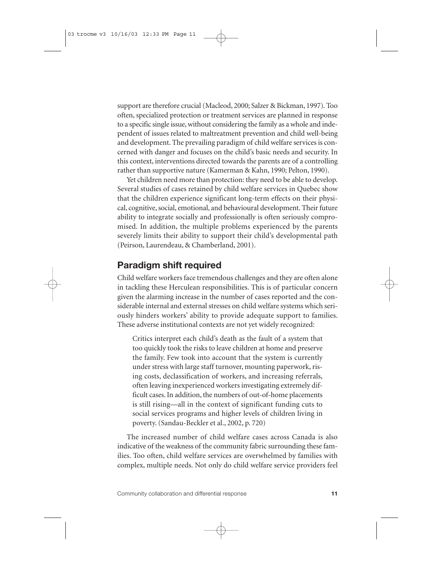support are therefore crucial (Macleod, 2000; Salzer & Bickman, 1997). Too often, specialized protection or treatment services are planned in response to a specific single issue, without considering the family as a whole and independent of issues related to maltreatment prevention and child well-being and development. The prevailing paradigm of child welfare services is concerned with danger and focuses on the child's basic needs and security. In this context, interventions directed towards the parents are of a controlling rather than supportive nature (Kamerman & Kahn, 1990; Pelton, 1990).

Yet children need more than protection: they need to be able to develop. Several studies of cases retained by child welfare services in Quebec show that the children experience significant long-term effects on their physical, cognitive, social, emotional, and behavioural development. Their future ability to integrate socially and professionally is often seriously compromised. In addition, the multiple problems experienced by the parents severely limits their ability to support their child's developmental path (Peirson, Laurendeau, & Chamberland, 2001).

### **Paradigm shift required**

Child welfare workers face tremendous challenges and they are often alone in tackling these Herculean responsibilities. This is of particular concern given the alarming increase in the number of cases reported and the considerable internal and external stresses on child welfare systems which seriously hinders workers' ability to provide adequate support to families. These adverse institutional contexts are not yet widely recognized:

Critics interpret each child's death as the fault of a system that too quickly took the risks to leave children at home and preserve the family. Few took into account that the system is currently under stress with large staff turnover, mounting paperwork, rising costs, declassification of workers, and increasing referrals, often leaving inexperienced workers investigating extremely difficult cases. In addition, the numbers of out-of-home placements is still rising—all in the context of significant funding cuts to social services programs and higher levels of children living in poverty. (Sandau-Beckler et al., 2002, p. 720)

The increased number of child welfare cases across Canada is also indicative of the weakness of the community fabric surrounding these families. Too often, child welfare services are overwhelmed by families with complex, multiple needs. Not only do child welfare service providers feel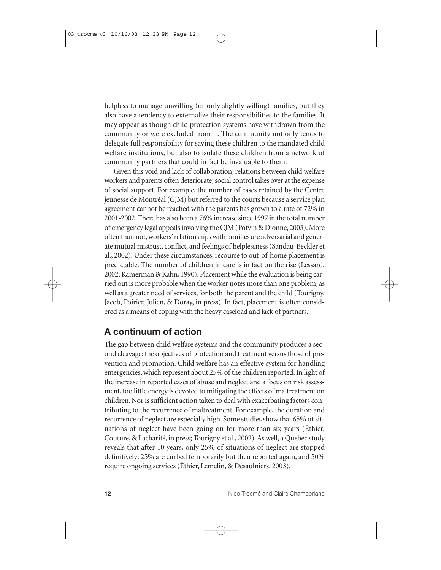helpless to manage unwilling (or only slightly willing) families, but they also have a tendency to externalize their responsibilities to the families. It may appear as though child protection systems have withdrawn from the community or were excluded from it. The community not only tends to delegate full responsibility for saving these children to the mandated child welfare institutions, but also to isolate these children from a network of community partners that could in fact be invaluable to them.

Given this void and lack of collaboration, relations between child welfare workers and parents often deteriorate; social control takes over at the expense of social support. For example, the number of cases retained by the Centre jeunesse de Montréal (CJM) but referred to the courts because a service plan agreement cannot be reached with the parents has grown to a rate of 72% in 2001-2002. There has also been a 76% increase since 1997 in the total number of emergency legal appeals involving the CJM (Potvin & Dionne, 2003). More often than not, workers' relationships with families are adversarial and generate mutual mistrust, conflict, and feelings of helplessness (Sandau-Beckler et al., 2002). Under these circumstances, recourse to out-of-home placement is predictable. The number of children in care is in fact on the rise (Lessard, 2002; Kamerman & Kahn, 1990). Placement while the evaluation is being carried out is more probable when the worker notes more than one problem, as well as a greater need of services, for both the parent and the child (Tourigny, Jacob, Poirier, Julien, & Doray, in press). In fact, placement is often considered as a means of coping with the heavy caseload and lack of partners.

### **A continuum of action**

The gap between child welfare systems and the community produces a second cleavage: the objectives of protection and treatment versus those of prevention and promotion. Child welfare has an effective system for handling emergencies, which represent about 25% of the children reported. In light of the increase in reported cases of abuse and neglect and a focus on risk assessment, too little energy is devoted to mitigating the effects of maltreatment on children. Nor is sufficient action taken to deal with exacerbating factors contributing to the recurrence of maltreatment. For example, the duration and recurrence of neglect are especially high. Some studies show that 65% of situations of neglect have been going on for more than six years (Éthier, Couture, & Lacharité, in press; Tourigny et al., 2002). As well, a Quebec study reveals that after 10 years, only 25% of situations of neglect are stopped definitively; 25% are curbed temporarily but then reported again, and 50% require ongoing services (Éthier, Lemelin, & Desaulniers, 2003).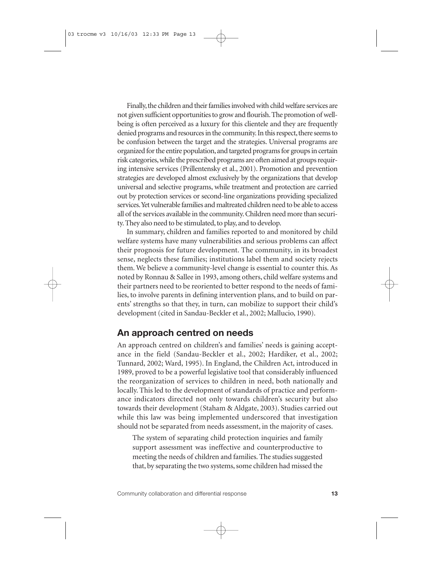Finally,the children and their families involved with child welfare services are not given sufficient opportunities to grow and flourish.The promotion of wellbeing is often perceived as a luxury for this clientele and they are frequently denied programs and resources in the community. In this respect, there seems to be confusion between the target and the strategies. Universal programs are organized for the entire population,and targeted programs for groups in certain risk categories,while the prescribed programs are often aimed at groups requiring intensive services (Prillentensky et al., 2001). Promotion and prevention strategies are developed almost exclusively by the organizations that develop universal and selective programs, while treatment and protection are carried out by protection services or second-line organizations providing specialized services.Yet vulnerable families and maltreated children need to be able to access all of the services available in the community. Children need more than security. They also need to be stimulated, to play, and to develop.

In summary, children and families reported to and monitored by child welfare systems have many vulnerabilities and serious problems can affect their prognosis for future development. The community, in its broadest sense, neglects these families; institutions label them and society rejects them. We believe a community-level change is essential to counter this. As noted by Ronnau & Sallee in 1993, among others, child welfare systems and their partners need to be reoriented to better respond to the needs of families, to involve parents in defining intervention plans, and to build on parents' strengths so that they, in turn, can mobilize to support their child's development (cited in Sandau-Beckler et al., 2002; Mallucio, 1990).

# **An approach centred on needs**

An approach centred on children's and families' needs is gaining acceptance in the field (Sandau-Beckler et al., 2002; Hardiker, et al., 2002; Tunnard, 2002; Ward, 1995). In England, the Children Act, introduced in 1989, proved to be a powerful legislative tool that considerably influenced the reorganization of services to children in need, both nationally and locally. This led to the development of standards of practice and performance indicators directed not only towards children's security but also towards their development (Staham & Aldgate, 2003). Studies carried out while this law was being implemented underscored that investigation should not be separated from needs assessment, in the majority of cases.

The system of separating child protection inquiries and family support assessment was ineffective and counterproductive to meeting the needs of children and families. The studies suggested that, by separating the two systems, some children had missed the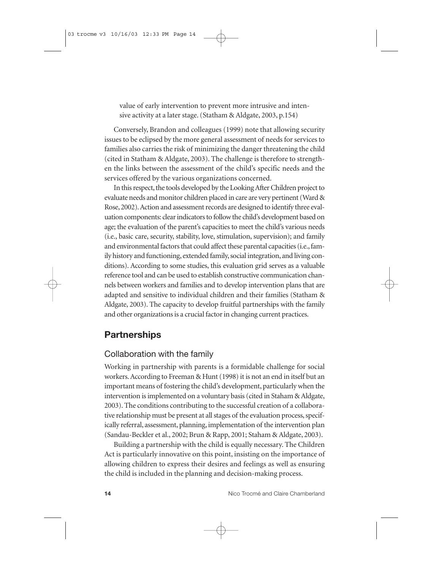value of early intervention to prevent more intrusive and intensive activity at a later stage. (Statham & Aldgate, 2003, p.154)

Conversely, Brandon and colleagues (1999) note that allowing security issues to be eclipsed by the more general assessment of needs for services to families also carries the risk of minimizing the danger threatening the child (cited in Statham & Aldgate, 2003). The challenge is therefore to strengthen the links between the assessment of the child's specific needs and the services offered by the various organizations concerned.

In this respect, the tools developed by the Looking After Children project to evaluate needs and monitor children placed in care are very pertinent (Ward & Rose, 2002).Action and assessment records are designed to identify three evaluation components: clear indicators to follow the child's development based on age; the evaluation of the parent's capacities to meet the child's various needs (i.e., basic care, security, stability, love, stimulation, supervision); and family and environmental factors that could affect these parental capacities (i.e., family history and functioning, extended family, social integration, and living conditions). According to some studies, this evaluation grid serves as a valuable reference tool and can be used to establish constructive communication channels between workers and families and to develop intervention plans that are adapted and sensitive to individual children and their families (Statham & Aldgate, 2003). The capacity to develop fruitful partnerships with the family and other organizations is a crucial factor in changing current practices.

### **Partnerships**

### Collaboration with the family

Working in partnership with parents is a formidable challenge for social workers. According to Freeman & Hunt (1998) it is not an end in itself but an important means of fostering the child's development, particularly when the intervention is implemented on a voluntary basis (cited in Staham & Aldgate, 2003). The conditions contributing to the successful creation of a collaborative relationship must be present at all stages of the evaluation process, specifically referral, assessment, planning, implementation of the intervention plan (Sandau-Beckler et al., 2002; Brun & Rapp, 2001; Staham & Aldgate, 2003).

Building a partnership with the child is equally necessary. The Children Act is particularly innovative on this point, insisting on the importance of allowing children to express their desires and feelings as well as ensuring the child is included in the planning and decision-making process.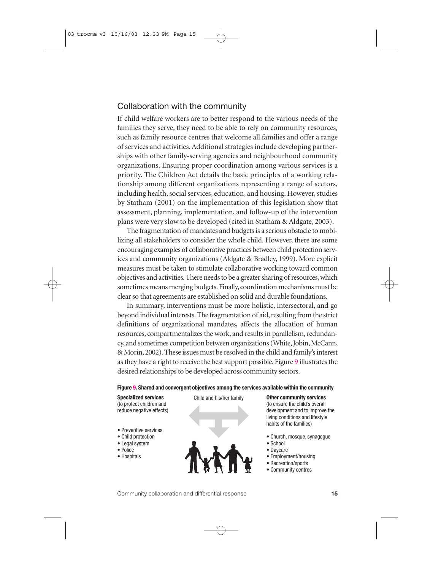### Collaboration with the community

If child welfare workers are to better respond to the various needs of the families they serve, they need to be able to rely on community resources, such as family resource centres that welcome all families and offer a range of services and activities. Additional strategies include developing partnerships with other family-serving agencies and neighbourhood community organizations. Ensuring proper coordination among various services is a priority. The Children Act details the basic principles of a working relationship among different organizations representing a range of sectors, including health, social services, education, and housing. However, studies by Statham (2001) on the implementation of this legislation show that assessment, planning, implementation, and follow-up of the intervention plans were very slow to be developed (cited in Statham & Aldgate, 2003).

The fragmentation of mandates and budgets is a serious obstacle to mobilizing all stakeholders to consider the whole child. However, there are some encouraging examples of collaborative practices between child protection services and community organizations (Aldgate & Bradley, 1999). More explicit measures must be taken to stimulate collaborative working toward common objectives and activities. There needs to be a greater sharing of resources, which sometimes means merging budgets. Finally, coordination mechanisms must be clear so that agreements are established on solid and durable foundations.

In summary, interventions must be more holistic, intersectoral, and go beyond individual interests. The fragmentation of aid, resulting from the strict definitions of organizational mandates, affects the allocation of human resources, compartmentalizes the work, and results in parallelism, redundancy, and sometimes competition between organizations (White, Jobin, McCann, & Morin, 2002). These issues must be resolved in the child and family's interest as they have a right to receive the best support possible. Figure 9 illustrates the desired relationships to be developed across community sectors.

#### **Figure 9. Shared and convergent objectives among the services available within the community**

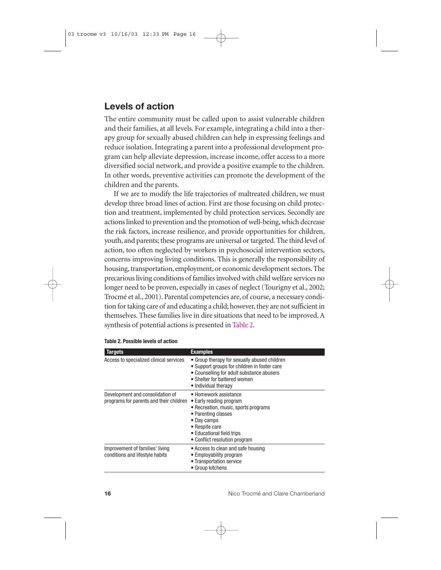# **Levels of action**

The entire community must be called upon to assist vulnerable children and their families, at all levels. For example, integrating a child into a therapy group for sexually abused children can help in expressing feelings and reduce isolation. Integrating a parent into a professional development program can help alleviate depression, increase income, offer access to a more diversified social network, and provide a positive example to the children. In other words, preventive activities can promote the development of the children and the parents.

If we are to modify the life trajectories of maltreated children, we must develop three broad lines of action. First are those focusing on child protection and treatment, implemented by child protection services. Secondly are actions linked to prevention and the promotion of well-being, which decrease the risk factors, increase resilience, and provide opportunities for children, youth, and parents; these programs are universal or targeted. The third level of action, too often neglected by workers in psychosocial intervention sectors, concerns improving living conditions. This is generally the responsibility of housing, transportation, employment, or economic development sectors. The precarious living conditions of families involved with child welfare services no longer need to be proven, especially in cases of neglect (Tourigny et al., 2002; Trocmé et al., 2001). Parental competencies are, of course, a necessary condition for taking care of and educating a child; however, they are not sufficient in themselves. These families live in dire situations that need to be improved. A synthesis of potential actions is presented in Table 2.

| <b>Targets</b>                                                              | <b>Examples</b>                                                                                                                                                                                                |
|-----------------------------------------------------------------------------|----------------------------------------------------------------------------------------------------------------------------------------------------------------------------------------------------------------|
| Access to specialized clinical services                                     | • Group therapy for sexually abused children<br>• Support groups for children in foster care<br>• Counselling for adult substance abusers<br>• Shelter for battered women<br>• Individual therapy              |
| Development and consolidation of<br>programs for parents and their children | • Homework assistance<br>• Early reading program<br>• Recreation, music, sports programs<br>• Parenting classes<br>• Day camps<br>• Respite care<br>• Educational field trips<br>• Conflict resolution program |
| Improvement of families' living<br>conditions and lifestyle habits          | • Access to clean and safe housing<br>• Employability program<br>• Transportation service<br>• Group kitchens                                                                                                  |

#### **Table 2. Possible levels of action**